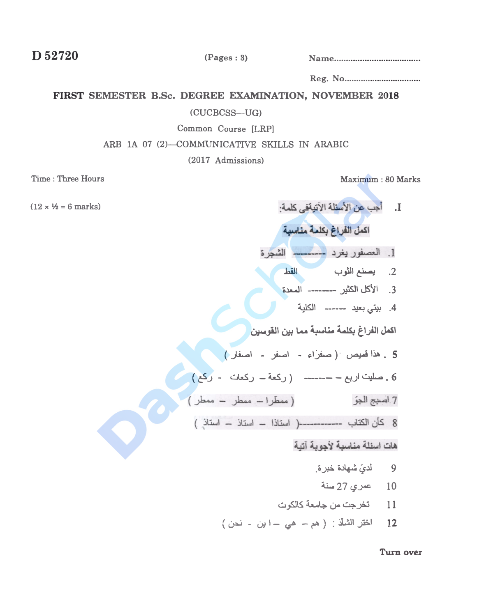## FIRST SEMESTER B.Sc. DEGREE EXAMINATION, NOVEMBER 2018

## $(CUCBCSS-UG)$

Common Course [LRP]

## ARB 1A 07 (2)-COMMUNICATIVE SKILLS IN ARABIC

(2017 Admissions)

Time: Three Hours

 $(12 \times \frac{1}{2}) = 6$  marks)

Maximum: 80 Marks

- أجب عن الأسئلة الأتيةفي كلمة:  $\cdot$ اكمل الفراغ بكلمة مناسبة 1. العصفور يغرد ------- الشجرة 2. يصنع الثوب  $L<sub>ab</sub>$ 3. الأكل الكثير -------- المعدة 4. بيئي بعيد ------ الكلية اكمل الفراغ بكلم<mark>ة مناسبة مما بين القر</mark>مين 5. هَذَا قَمَيْص (صَفَرَاء - اصْفِر - اصْفَلَ ) 6. صليت اربع – ––––– (ركعة – ركعات - ركع) 7 اسبج الجوّ ( معطّر ا – معطر – معطر )<br>7 اسبج الجوّ 8 كأن الكتاب -----------( استاذا - استاذ - استاذ ) هات اسئلة مناسبة لأحوية آتية 9 لديّ شهادة خبرة. 10 عري 27 سنة 11 - تخرجت من جامعة كالكوت 12 اختر الشلَّذ: (هم - هي - اين - نحن)
	- Turn over

D<sub>52720</sub>

 $(Pages: 3)$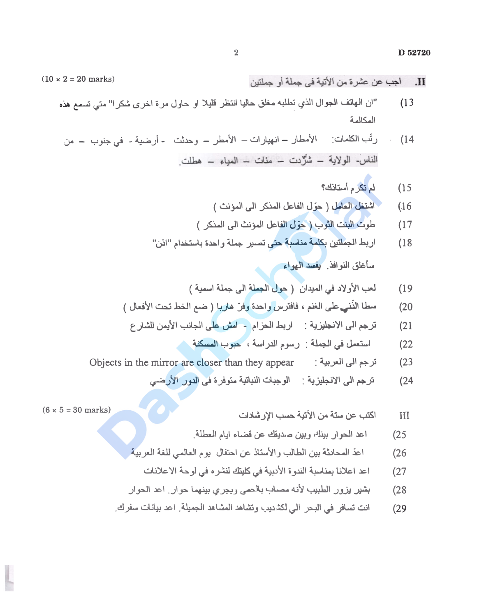$(10 \times 2 = 20 \text{ marks})$ اجب عن عشر ة من الأتية في جملة أو جملتين  $\overline{\mathbf{H}}$ "ان الهاتف الجوال الذي تطلبه مغلق حاليا انتظر قليلا او حاول مرة اخرى شكر ا" متى تسمع هذه  $(13)$ المكالمة رتَبِ الكلمات: ﴿ الأمطارِ – انهيارات – الأمطرِ – وحدثت - أرضية - في جنوب – من  $(14)$ الناس- الولاية – شُرِّدت – مَنات – المباء – هطلت لم تكرم أستلاك؟  $(15$ الشتغل العامل (حول الفاعل المنكر الى المؤنث)  $(16)$ طوت البنت الثرب (حول الفاعل المونث الى المنكر)  $(17)$ اربط الجملتين بكلمة مناسبة حتى تصير جملة واحدة باستخدام "انن"  $(18)$ مباغلق النوافذ يفسد الهواء لعب الأولاد في الميدان (حول الجملة الى جملة اسمية )  $(19)$ سطا النُّني على الغنم ، فافترس واحدة وفرٍّ هاربا ( ضبع الخط تحت الأفعال )  $(20$ ترجم الى الانجليزية : اربط الحزام - امسْ على الجانب الأيمن للشارع  $(21)$ استعمل في الجملة : رسوم الدراسة ، حبوب المسكنة  $(22)$ Objects in the mirror are closer than they appear it in the mirror are closer than they appear  $(23)$ ترجم الى الانجليزية : الوجبات النباتية متوفرة في الدور الأرضى  $(24)$  $(6 \times 5 = 30$  marks) اكتب عن سنة من الأنبة حسب الار شلاات III اعد الحوار بينك، وبين صديقك عن فضاء ايام العطلة.  $(25)$ اعدِّ العحائمة بين الطالب والأستلاح من احتفال ووم العالمي للغة العربية.  $(26)$ اعد اعلانا بمناسبة الندوءَ الأدبية في كليتك لنشره في لوحة الإعلانات  $(27)$ 

- بشير يزور الطبيب لأنه مصاب بالحمى ويجرى بينهما حوار إعد الحوار  $(28)$
- انت تسافر في البحر إلى لكذهب وتشاهد المشاهد الجميلة. أعد بيانات سفر ك.  $(29)$